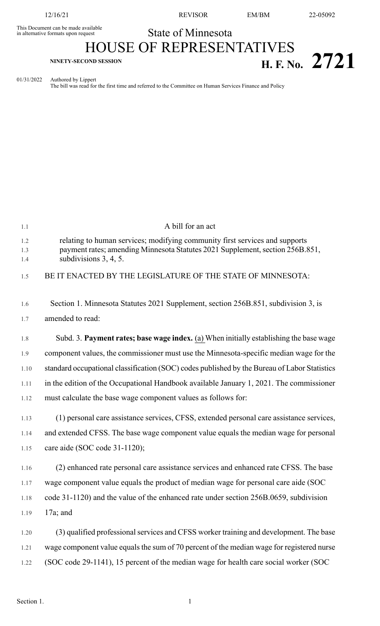This Document can be made available<br>in alternative formats upon request

12/16/21 REVISOR EM/BM 22-05092

## State of Minnesota

## HOUSE OF REPRESENTATIVES **H. F. NO.** 2721

01/31/2022 Authored by Lippert

The bill was read for the first time and referred to the Committee on Human Services Finance and Policy

| 1.1               | A bill for an act                                                                                                                                                                        |
|-------------------|------------------------------------------------------------------------------------------------------------------------------------------------------------------------------------------|
| 1.2<br>1.3<br>1.4 | relating to human services; modifying community first services and supports<br>payment rates; amending Minnesota Statutes 2021 Supplement, section 256B.851,<br>subdivisions $3, 4, 5$ . |
| 1.5               | BE IT ENACTED BY THE LEGISLATURE OF THE STATE OF MINNESOTA:                                                                                                                              |
| 1.6               | Section 1. Minnesota Statutes 2021 Supplement, section 256B.851, subdivision 3, is                                                                                                       |
| 1.7               | amended to read:                                                                                                                                                                         |
| 1.8               | Subd. 3. Payment rates; base wage index. (a) When initially establishing the base wage                                                                                                   |
| 1.9               | component values, the commissioner must use the Minnesota-specific median wage for the                                                                                                   |
| 1.10              | standard occupational classification (SOC) codes published by the Bureau of Labor Statistics                                                                                             |
| 1.11              | in the edition of the Occupational Handbook available January 1, 2021. The commissioner                                                                                                  |
| 1.12              | must calculate the base wage component values as follows for:                                                                                                                            |
| 1.13              | (1) personal care assistance services, CFSS, extended personal care assistance services,                                                                                                 |
| 1.14              | and extended CFSS. The base wage component value equals the median wage for personal                                                                                                     |
| 1.15              | care aide (SOC code 31-1120);                                                                                                                                                            |
| 1.16              | (2) enhanced rate personal care assistance services and enhanced rate CFSS. The base                                                                                                     |
| 1.17              | wage component value equals the product of median wage for personal care aide (SOC                                                                                                       |
| 1.18              | code 31-1120) and the value of the enhanced rate under section 256B.0659, subdivision                                                                                                    |
| 1.19              | $17a$ ; and                                                                                                                                                                              |
| 1.20              | (3) qualified professional services and CFSS worker training and development. The base                                                                                                   |
| 1.21              | wage component value equals the sum of 70 percent of the median wage for registered nurse                                                                                                |
| 1.22              | (SOC code 29-1141), 15 percent of the median wage for health care social worker (SOC                                                                                                     |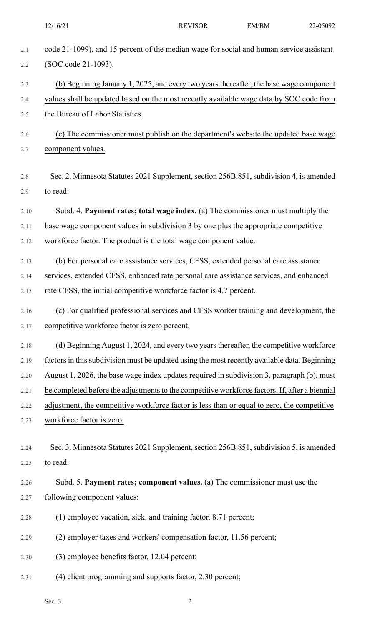| 2.1  | code 21-1099), and 15 percent of the median wage for social and human service assistant        |
|------|------------------------------------------------------------------------------------------------|
| 2.2  | (SOC code 21-1093).                                                                            |
| 2.3  | (b) Beginning January 1, 2025, and every two years thereafter, the base wage component         |
| 2.4  | values shall be updated based on the most recently available wage data by SOC code from        |
| 2.5  | the Bureau of Labor Statistics.                                                                |
| 2.6  | (c) The commissioner must publish on the department's website the updated base wage            |
| 2.7  | component values.                                                                              |
|      |                                                                                                |
| 2.8  | Sec. 2. Minnesota Statutes 2021 Supplement, section 256B.851, subdivision 4, is amended        |
| 2.9  | to read:                                                                                       |
| 2.10 | Subd. 4. Payment rates; total wage index. (a) The commissioner must multiply the               |
| 2.11 | base wage component values in subdivision 3 by one plus the appropriate competitive            |
| 2.12 | workforce factor. The product is the total wage component value.                               |
| 2.13 | (b) For personal care assistance services, CFSS, extended personal care assistance             |
| 2.14 | services, extended CFSS, enhanced rate personal care assistance services, and enhanced         |
| 2.15 | rate CFSS, the initial competitive workforce factor is 4.7 percent.                            |
| 2.16 | (c) For qualified professional services and CFSS worker training and development, the          |
| 2.17 | competitive workforce factor is zero percent.                                                  |
| 2.18 | (d) Beginning August 1, 2024, and every two years thereafter, the competitive workforce        |
| 2.19 | factors in this subdivision must be updated using the most recently available data. Beginning  |
| 2.20 | August 1, 2026, the base wage index updates required in subdivision 3, paragraph (b), must     |
| 2.21 | be completed before the adjustments to the competitive workforce factors. If, after a biennial |
| 2.22 | adjustment, the competitive workforce factor is less than or equal to zero, the competitive    |
| 2.23 | workforce factor is zero.                                                                      |
|      |                                                                                                |
| 2.24 | Sec. 3. Minnesota Statutes 2021 Supplement, section 256B.851, subdivision 5, is amended        |
| 2.25 | to read:                                                                                       |
| 2.26 | Subd. 5. Payment rates; component values. (a) The commissioner must use the                    |
| 2.27 | following component values:                                                                    |
| 2.28 | (1) employee vacation, sick, and training factor, 8.71 percent;                                |
| 2.29 | (2) employer taxes and workers' compensation factor, 11.56 percent;                            |
| 2.30 | (3) employee benefits factor, 12.04 percent;                                                   |
|      |                                                                                                |

2.31 (4) client programming and supports factor, 2.30 percent;

Sec. 3. 2